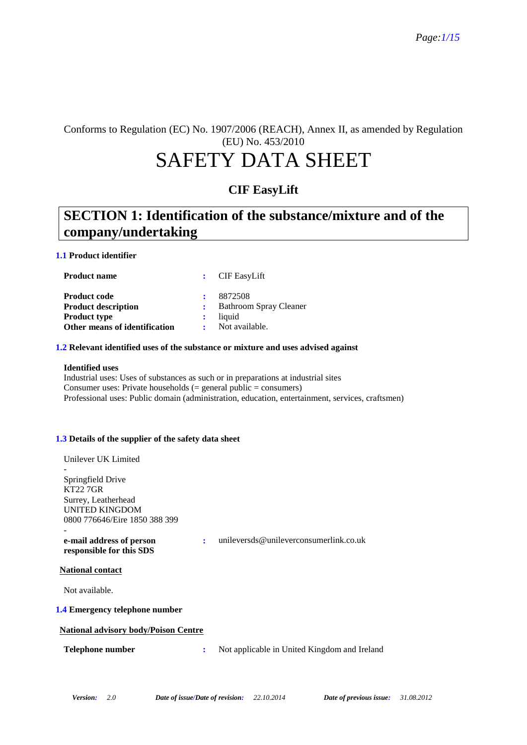Conforms to Regulation (EC) No. 1907/2006 (REACH), Annex II, as amended by Regulation (EU) No. 453/2010

# SAFETY DATA SHEET

### **CIF EasyLift**

## **SECTION 1: Identification of the substance/mixture and of the company/undertaking**

### **1.1 Product identifier**

| <b>Product name</b>                                                                                       | $\therefore$ CIF EasyLift                                            |
|-----------------------------------------------------------------------------------------------------------|----------------------------------------------------------------------|
| <b>Product code</b><br><b>Product description</b><br><b>Product type</b><br>Other means of identification | 8872508<br><b>Bathroom Spray Cleaner</b><br>liquid<br>Not available. |

### **1.2 Relevant identified uses of the substance or mixture and uses advised against**

#### **Identified uses**

Industrial uses: Uses of substances as such or in preparations at industrial sites Consumer uses: Private households  $(=$  general public  $=$  consumers) Professional uses: Public domain (administration, education, entertainment, services, craftsmen)

### **1.3 Details of the supplier of the safety data sheet**

| Unilever UK Limited                                  |   |                                              |
|------------------------------------------------------|---|----------------------------------------------|
|                                                      |   |                                              |
| Springfield Drive                                    |   |                                              |
| KT22 7GR                                             |   |                                              |
| Surrey, Leatherhead                                  |   |                                              |
| <b>UNITED KINGDOM</b>                                |   |                                              |
| 0800 776646/Eire 1850 388 399                        |   |                                              |
|                                                      |   |                                              |
| e-mail address of person<br>responsible for this SDS | ÷ | unileversds@unileverconsumerlink.co.uk       |
| <b>National contact</b>                              |   |                                              |
| Not available.                                       |   |                                              |
| 1.4 Emergency telephone number                       |   |                                              |
| <b>National advisory body/Poison Centre</b>          |   |                                              |
| Telephone number                                     | ÷ | Not applicable in United Kingdom and Ireland |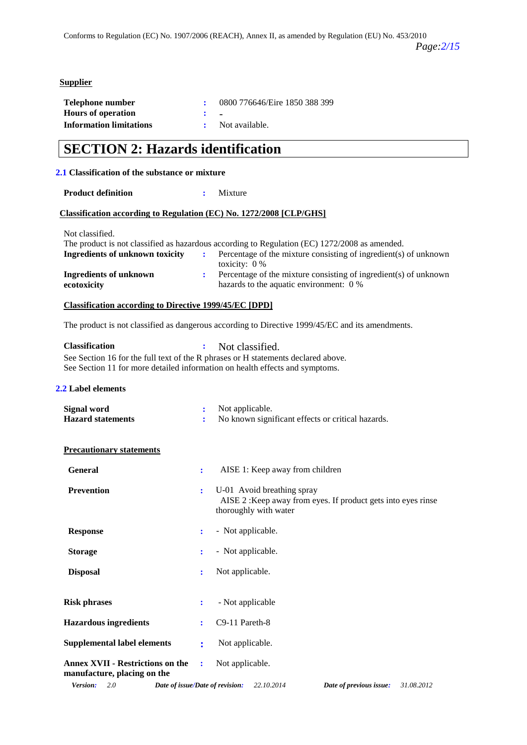### **Supplier**

| Telephone number               | 0800 776646/Eire 1850 388 399 |
|--------------------------------|-------------------------------|
| <b>Hours of operation</b>      |                               |
| <b>Information limitations</b> | Not available.                |

## **SECTION 2: Hazards identification**

### **2.1 Classification of the substance or mixture**

**Product definition :** Mixture

### **Classification according to Regulation (EC) No. 1272/2008 [CLP/GHS]**

Not classified.

| The product is not classified as hazardous according to Regulation (EC) 1272/2008 as amended. |  |                                                                                  |  |  |
|-----------------------------------------------------------------------------------------------|--|----------------------------------------------------------------------------------|--|--|
| Ingredients of unknown toxicity                                                               |  | <b>EXECUTE:</b> Percentage of the mixture consisting of ingredient(s) of unknown |  |  |
|                                                                                               |  | toxicity: $0\%$                                                                  |  |  |
| Ingredients of unknown                                                                        |  | Percentage of the mixture consisting of ingredient(s) of unknown                 |  |  |
| ecotoxicity                                                                                   |  | hazards to the aquatic environment: 0 %                                          |  |  |

### **Classification according to Directive 1999/45/EC [DPD]**

The product is not classified as dangerous according to Directive 1999/45/EC and its amendments.

| <b>Classification</b>                                                             | : Not classified. |  |
|-----------------------------------------------------------------------------------|-------------------|--|
| See Section 16 for the full text of the R phrases or H statements declared above. |                   |  |
| See Section 11 for more detailed information on health effects and symptoms.      |                   |  |

### **2.2 Label elements**

| Signal word              | Not applicable.                                   |
|--------------------------|---------------------------------------------------|
| <b>Hazard statements</b> | No known significant effects or critical hazards. |

### **Precautionary statements**

| <b>General</b>                                                    | ÷              | AISE 1: Keep away from children                                                                                     |
|-------------------------------------------------------------------|----------------|---------------------------------------------------------------------------------------------------------------------|
| <b>Prevention</b>                                                 | ÷              | U-01 Avoid breathing spray<br>AISE 2: Keep away from eyes. If product gets into eyes rinse<br>thoroughly with water |
| <b>Response</b>                                                   | $\mathbf{L}$   | - Not applicable.                                                                                                   |
| <b>Storage</b>                                                    |                | - Not applicable.                                                                                                   |
| <b>Disposal</b>                                                   | ÷              | Not applicable.                                                                                                     |
| <b>Risk phrases</b>                                               | $\mathbf{L}$   | - Not applicable                                                                                                    |
| <b>Hazardous ingredients</b>                                      |                | $\therefore$ C9-11 Pareth-8                                                                                         |
| <b>Supplemental label elements</b>                                | $\ddot{\cdot}$ | Not applicable.                                                                                                     |
| Annex XVII - Restrictions on the :<br>manufacture, placing on the |                | Not applicable.                                                                                                     |
| Version:<br>2.0<br>Date of issue/Date of revision:                |                | 22.10.2014<br>31.08.2012<br>Date of previous issue:                                                                 |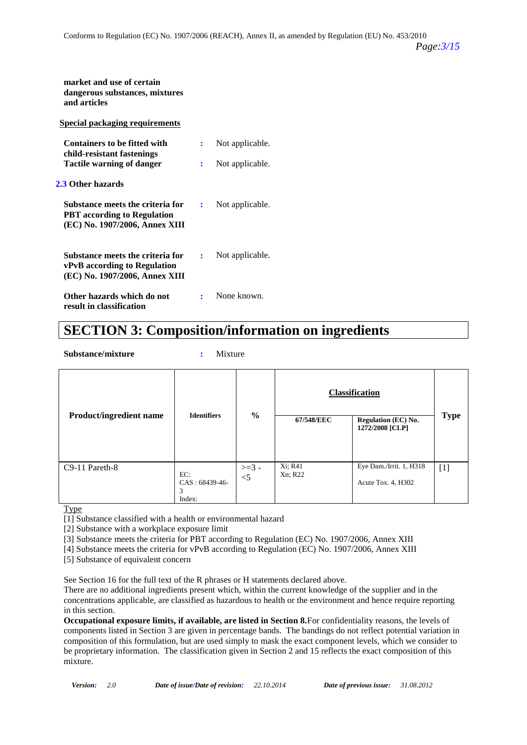| market and use of certain<br>dangerous substances, mixtures<br>and articles                              |   |                 |
|----------------------------------------------------------------------------------------------------------|---|-----------------|
| Special packaging requirements                                                                           |   |                 |
| <b>Containers to be fitted with</b>                                                                      | ÷ | Not applicable. |
| child-resistant fastenings<br>Tactile warning of danger                                                  | ÷ | Not applicable. |
| 2.3 Other hazards                                                                                        |   |                 |
| Substance meets the criteria for<br><b>PBT</b> according to Regulation<br>(EC) No. 1907/2006, Annex XIII | ÷ | Not applicable. |
| Substance meets the criteria for<br>vPvB according to Regulation<br>(EC) No. 1907/2006, Annex XIII       | ÷ | Not applicable. |
| Other hazards which do not<br>result in classification                                                   |   | None known.     |

## **SECTION 3: Composition/information on ingredients**

**Substance/mixture :** Mixture

| <b>Product/ingredient name</b> | <b>Identifiers</b>                     | $\frac{6}{6}$     | 67/548/EEC         | <b>Classification</b><br><b>Regulation (EC) No.</b><br>1272/2008 [CLP] | <b>Type</b> |
|--------------------------------|----------------------------------------|-------------------|--------------------|------------------------------------------------------------------------|-------------|
| C9-11 Pareth-8                 | EC:<br>$CAS: 68439-46-$<br>3<br>Index: | $>=$ 3 -<br>$<$ 5 | Xi; R41<br>Xn; R22 | Eye Dam./Irrit. 1, H318<br>Acute Tox. 4, H302                          | $[1]$       |

Type

[1] Substance classified with a health or environmental hazard

[2] Substance with a workplace exposure limit

[3] Substance meets the criteria for PBT according to Regulation (EC) No. 1907/2006, Annex XIII

[4] Substance meets the criteria for vPvB according to Regulation (EC) No. 1907/2006, Annex XIII

[5] Substance of equivalent concern

See Section 16 for the full text of the R phrases or H statements declared above.

There are no additional ingredients present which, within the current knowledge of the supplier and in the concentrations applicable, are classified as hazardous to health or the environment and hence require reporting in this section.

**Occupational exposure limits, if available, are listed in Section 8.**For confidentiality reasons, the levels of components listed in Section 3 are given in percentage bands. The bandings do not reflect potential variation in composition of this formulation, but are used simply to mask the exact component levels, which we consider to be proprietary information. The classification given in Section 2 and 15 reflects the exact composition of this mixture.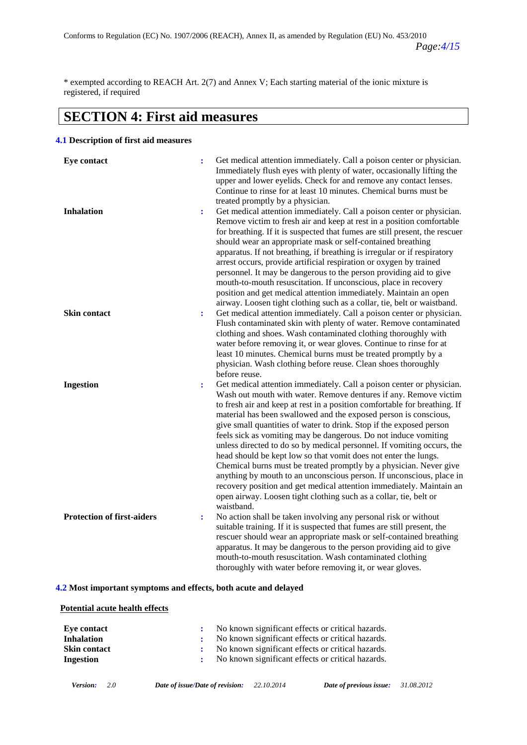\* exempted according to REACH Art. 2(7) and Annex V; Each starting material of the ionic mixture is registered, if required

## **SECTION 4: First aid measures**

### **4.1 Description of first aid measures**

| Eye contact                       |                | Get medical attention immediately. Call a poison center or physician.<br>Immediately flush eyes with plenty of water, occasionally lifting the<br>upper and lower eyelids. Check for and remove any contact lenses.<br>Continue to rinse for at least 10 minutes. Chemical burns must be<br>treated promptly by a physician.                                                                                                                                                                                                                                                                                                                                                                                                                                                                                                                                                               |
|-----------------------------------|----------------|--------------------------------------------------------------------------------------------------------------------------------------------------------------------------------------------------------------------------------------------------------------------------------------------------------------------------------------------------------------------------------------------------------------------------------------------------------------------------------------------------------------------------------------------------------------------------------------------------------------------------------------------------------------------------------------------------------------------------------------------------------------------------------------------------------------------------------------------------------------------------------------------|
| <b>Inhalation</b>                 | $\ddot{\cdot}$ | Get medical attention immediately. Call a poison center or physician.<br>Remove victim to fresh air and keep at rest in a position comfortable<br>for breathing. If it is suspected that fumes are still present, the rescuer<br>should wear an appropriate mask or self-contained breathing<br>apparatus. If not breathing, if breathing is irregular or if respiratory<br>arrest occurs, provide artificial respiration or oxygen by trained<br>personnel. It may be dangerous to the person providing aid to give<br>mouth-to-mouth resuscitation. If unconscious, place in recovery<br>position and get medical attention immediately. Maintain an open<br>airway. Loosen tight clothing such as a collar, tie, belt or waistband.                                                                                                                                                     |
| Skin contact                      | $\ddot{\cdot}$ | Get medical attention immediately. Call a poison center or physician.<br>Flush contaminated skin with plenty of water. Remove contaminated<br>clothing and shoes. Wash contaminated clothing thoroughly with<br>water before removing it, or wear gloves. Continue to rinse for at<br>least 10 minutes. Chemical burns must be treated promptly by a<br>physician. Wash clothing before reuse. Clean shoes thoroughly<br>before reuse.                                                                                                                                                                                                                                                                                                                                                                                                                                                     |
| <b>Ingestion</b>                  | $\ddot{\cdot}$ | Get medical attention immediately. Call a poison center or physician.<br>Wash out mouth with water. Remove dentures if any. Remove victim<br>to fresh air and keep at rest in a position comfortable for breathing. If<br>material has been swallowed and the exposed person is conscious,<br>give small quantities of water to drink. Stop if the exposed person<br>feels sick as vomiting may be dangerous. Do not induce vomiting<br>unless directed to do so by medical personnel. If vomiting occurs, the<br>head should be kept low so that vomit does not enter the lungs.<br>Chemical burns must be treated promptly by a physician. Never give<br>anything by mouth to an unconscious person. If unconscious, place in<br>recovery position and get medical attention immediately. Maintain an<br>open airway. Loosen tight clothing such as a collar, tie, belt or<br>waistband. |
| <b>Protection of first-aiders</b> | $\ddot{\cdot}$ | No action shall be taken involving any personal risk or without<br>suitable training. If it is suspected that fumes are still present, the<br>rescuer should wear an appropriate mask or self-contained breathing<br>apparatus. It may be dangerous to the person providing aid to give<br>mouth-to-mouth resuscitation. Wash contaminated clothing<br>thoroughly with water before removing it, or wear gloves.                                                                                                                                                                                                                                                                                                                                                                                                                                                                           |

### **4.2 Most important symptoms and effects, both acute and delayed**

### **Potential acute health effects**

| Eve contact         | No known significant effects or critical hazards. |
|---------------------|---------------------------------------------------|
| Inhalation          | No known significant effects or critical hazards. |
| <b>Skin contact</b> | No known significant effects or critical hazards. |
| Ingestion           | No known significant effects or critical hazards. |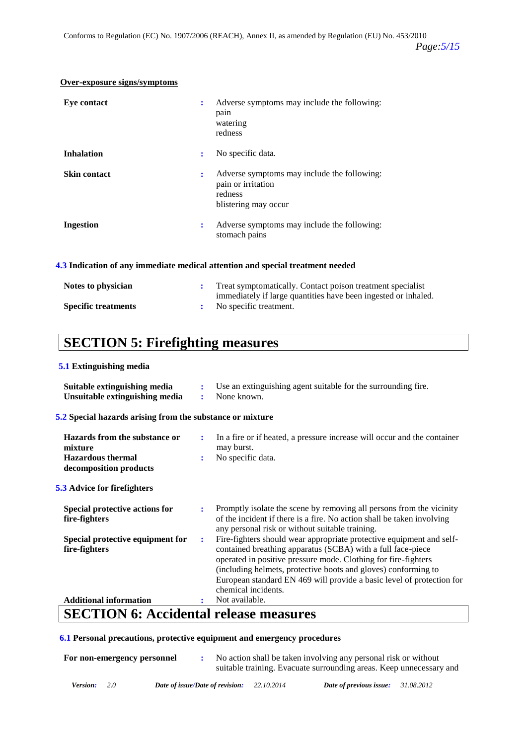| Eye contact         | ÷ | Adverse symptoms may include the following:<br>pain<br>watering<br>redness                           |
|---------------------|---|------------------------------------------------------------------------------------------------------|
| <b>Inhalation</b>   | ÷ | No specific data.                                                                                    |
| <b>Skin contact</b> | ÷ | Adverse symptoms may include the following:<br>pain or irritation<br>redness<br>blistering may occur |
| <b>Ingestion</b>    | ÷ | Adverse symptoms may include the following:<br>stomach pains                                         |

### **Over-exposure signs/symptoms**

### **4.3 Indication of any immediate medical attention and special treatment needed**

| Notes to physician         | Treat symptomatically. Contact poison treatment specialist                                 |
|----------------------------|--------------------------------------------------------------------------------------------|
| <b>Specific treatments</b> | immediately if large quantities have been ingested or inhaled.<br>: No specific treatment. |

## **SECTION 5: Firefighting measures**

### **5.1 Extinguishing media**

| Suitable extinguishing media<br>Unsuitable extinguishing media                                 | ÷<br>÷ | Use an extinguishing agent suitable for the surrounding fire.<br>None known.                                                                                                                                                                                                                                                                                            |
|------------------------------------------------------------------------------------------------|--------|-------------------------------------------------------------------------------------------------------------------------------------------------------------------------------------------------------------------------------------------------------------------------------------------------------------------------------------------------------------------------|
| 5.2 Special hazards arising from the substance or mixture                                      |        |                                                                                                                                                                                                                                                                                                                                                                         |
| Hazards from the substance or<br>mixture<br><b>Hazardous</b> thermal<br>decomposition products |        | In a fire or if heated, a pressure increase will occur and the container<br>may burst.<br>No specific data.                                                                                                                                                                                                                                                             |
| <b>5.3 Advice for firefighters</b>                                                             |        |                                                                                                                                                                                                                                                                                                                                                                         |
| Special protective actions for<br>fire-fighters                                                |        | Promptly isolate the scene by removing all persons from the vicinity<br>of the incident if there is a fire. No action shall be taken involving<br>any personal risk or without suitable training.                                                                                                                                                                       |
| Special protective equipment for<br>fire-fighters                                              | ÷      | Fire-fighters should wear appropriate protective equipment and self-<br>contained breathing apparatus (SCBA) with a full face-piece<br>operated in positive pressure mode. Clothing for fire-fighters<br>(including helmets, protective boots and gloves) conforming to<br>European standard EN 469 will provide a basic level of protection for<br>chemical incidents. |
| <b>Additional information</b>                                                                  |        | Not available.                                                                                                                                                                                                                                                                                                                                                          |
| $CDOMIMI \neq \bot$<br>$\bullet$ $\blacksquare$                                                |        | .                                                                                                                                                                                                                                                                                                                                                                       |

### **SECTION 6: Accidental release measures**

### **6.1 Personal precautions, protective equipment and emergency procedures**

| For non-emergency personnel |                                                   | No action shall be taken involving any personal risk or without<br>suitable training. Evacuate surrounding areas. Keep unnecessary and |  |
|-----------------------------|---------------------------------------------------|----------------------------------------------------------------------------------------------------------------------------------------|--|
| 2.0<br><b>Version:</b>      | <b>Date of issue/Date of revision:</b> 22.10.2014 | Date of previous issue: $31.08.2012$                                                                                                   |  |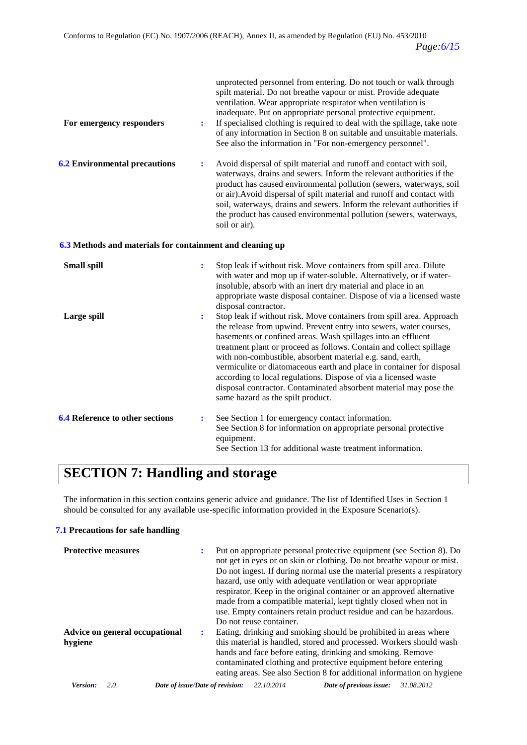| For emergency responders                                  | ÷              | unprotected personnel from entering. Do not touch or walk through<br>spilt material. Do not breathe vapour or mist. Provide adequate<br>ventilation. Wear appropriate respirator when ventilation is<br>inadequate. Put on appropriate personal protective equipment.<br>If specialised clothing is required to deal with the spillage, take note<br>of any information in Section 8 on suitable and unsuitable materials.<br>See also the information in "For non-emergency personnel".                                                                                                              |
|-----------------------------------------------------------|----------------|-------------------------------------------------------------------------------------------------------------------------------------------------------------------------------------------------------------------------------------------------------------------------------------------------------------------------------------------------------------------------------------------------------------------------------------------------------------------------------------------------------------------------------------------------------------------------------------------------------|
| <b>6.2 Environmental precautions</b>                      | $\ddot{\cdot}$ | Avoid dispersal of spilt material and runoff and contact with soil,<br>waterways, drains and sewers. Inform the relevant authorities if the<br>product has caused environmental pollution (sewers, waterways, soil<br>or air). Avoid dispersal of spilt material and runoff and contact with<br>soil, waterways, drains and sewers. Inform the relevant authorities if<br>the product has caused environmental pollution (sewers, waterways,<br>soil or air).                                                                                                                                         |
| 6.3 Methods and materials for containment and cleaning up |                |                                                                                                                                                                                                                                                                                                                                                                                                                                                                                                                                                                                                       |
| <b>Small spill</b>                                        | ÷              | Stop leak if without risk. Move containers from spill area. Dilute<br>with water and mop up if water-soluble. Alternatively, or if water-<br>insoluble, absorb with an inert dry material and place in an<br>appropriate waste disposal container. Dispose of via a licensed waste<br>disposal contractor.                                                                                                                                                                                                                                                                                            |
| Large spill                                               | $\ddot{\cdot}$ | Stop leak if without risk. Move containers from spill area. Approach<br>the release from upwind. Prevent entry into sewers, water courses,<br>basements or confined areas. Wash spillages into an effluent<br>treatment plant or proceed as follows. Contain and collect spillage<br>with non-combustible, absorbent material e.g. sand, earth,<br>vermiculite or diatomaceous earth and place in container for disposal<br>according to local regulations. Dispose of via a licensed waste<br>disposal contractor. Contaminated absorbent material may pose the<br>same hazard as the spilt product. |
| <b>6.4 Reference to other sections</b>                    | $\ddot{\cdot}$ | See Section 1 for emergency contact information.<br>See Section 8 for information on appropriate personal protective<br>equipment.<br>See Section 13 for additional waste treatment information.                                                                                                                                                                                                                                                                                                                                                                                                      |

## **SECTION 7: Handling and storage**

The information in this section contains generic advice and guidance. The list of Identified Uses in Section 1 should be consulted for any available use-specific information provided in the Exposure Scenario(s).

### **7.1 Precautions for safe handling**

| <b>Protective measures</b>                |   | Put on appropriate personal protective equipment (see Section 8). Do<br>not get in eyes or on skin or clothing. Do not breathe vapour or mist.<br>Do not ingest. If during normal use the material presents a respiratory<br>hazard, use only with adequate ventilation or wear appropriate<br>respirator. Keep in the original container or an approved alternative<br>made from a compatible material, kept tightly closed when not in<br>use. Empty containers retain product residue and can be hazardous.<br>Do not reuse container. |  |
|-------------------------------------------|---|-------------------------------------------------------------------------------------------------------------------------------------------------------------------------------------------------------------------------------------------------------------------------------------------------------------------------------------------------------------------------------------------------------------------------------------------------------------------------------------------------------------------------------------------|--|
| Advice on general occupational<br>hygiene | ٠ | Eating, drinking and smoking should be prohibited in areas where<br>this material is handled, stored and processed. Workers should wash<br>hands and face before eating, drinking and smoking. Remove<br>contaminated clothing and protective equipment before entering<br>eating areas. See also Section 8 for additional information on hygiene                                                                                                                                                                                         |  |
| Version.<br>2.0                           |   | 22.10.2014<br>31.08.2012<br>Date of issue/Date of revision:<br>Date of previous issue:                                                                                                                                                                                                                                                                                                                                                                                                                                                    |  |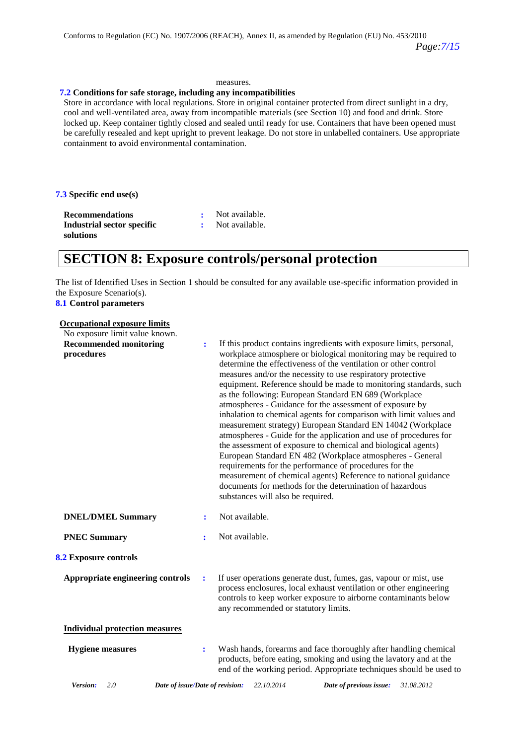#### measures.

#### **7.2 Conditions for safe storage, including any incompatibilities**

Store in accordance with local regulations. Store in original container protected from direct sunlight in a dry, cool and well-ventilated area, away from incompatible materials (see Section 10) and food and drink. Store locked up. Keep container tightly closed and sealed until ready for use. Containers that have been opened must be carefully resealed and kept upright to prevent leakage. Do not store in unlabelled containers. Use appropriate containment to avoid environmental contamination.

**7.3 Specific end use(s)**

**Recommendations :** Not available. **Industrial sector specific solutions**

**:** Not available.

### **SECTION 8: Exposure controls/personal protection**

The list of Identified Uses in Section 1 should be consulted for any available use-specific information provided in the Exposure Scenario(s).

#### **8.1 Control parameters**

### **Occupational exposure limits**

| No exposure limit value known.                     |                |                                                                                                                                                                                                                                                                                                                                                                                                                                                                                                                                                                                                                                                                                                                                                                                                                                                                                                                                                                                                                                           |
|----------------------------------------------------|----------------|-------------------------------------------------------------------------------------------------------------------------------------------------------------------------------------------------------------------------------------------------------------------------------------------------------------------------------------------------------------------------------------------------------------------------------------------------------------------------------------------------------------------------------------------------------------------------------------------------------------------------------------------------------------------------------------------------------------------------------------------------------------------------------------------------------------------------------------------------------------------------------------------------------------------------------------------------------------------------------------------------------------------------------------------|
| <b>Recommended monitoring</b><br>procedures        | ÷              | If this product contains ingredients with exposure limits, personal,<br>workplace atmosphere or biological monitoring may be required to<br>determine the effectiveness of the ventilation or other control<br>measures and/or the necessity to use respiratory protective<br>equipment. Reference should be made to monitoring standards, such<br>as the following: European Standard EN 689 (Workplace<br>atmospheres - Guidance for the assessment of exposure by<br>inhalation to chemical agents for comparison with limit values and<br>measurement strategy) European Standard EN 14042 (Workplace<br>atmospheres - Guide for the application and use of procedures for<br>the assessment of exposure to chemical and biological agents)<br>European Standard EN 482 (Workplace atmospheres - General<br>requirements for the performance of procedures for the<br>measurement of chemical agents) Reference to national guidance<br>documents for methods for the determination of hazardous<br>substances will also be required. |
| <b>DNEL/DMEL Summary</b>                           | $\ddot{\cdot}$ | Not available.                                                                                                                                                                                                                                                                                                                                                                                                                                                                                                                                                                                                                                                                                                                                                                                                                                                                                                                                                                                                                            |
| <b>PNEC Summary</b>                                | ÷              | Not available.                                                                                                                                                                                                                                                                                                                                                                                                                                                                                                                                                                                                                                                                                                                                                                                                                                                                                                                                                                                                                            |
| 8.2 Exposure controls                              |                |                                                                                                                                                                                                                                                                                                                                                                                                                                                                                                                                                                                                                                                                                                                                                                                                                                                                                                                                                                                                                                           |
| Appropriate engineering controls                   | ÷              | If user operations generate dust, fumes, gas, vapour or mist, use<br>process enclosures, local exhaust ventilation or other engineering<br>controls to keep worker exposure to airborne contaminants below<br>any recommended or statutory limits.                                                                                                                                                                                                                                                                                                                                                                                                                                                                                                                                                                                                                                                                                                                                                                                        |
| <b>Individual protection measures</b>              |                |                                                                                                                                                                                                                                                                                                                                                                                                                                                                                                                                                                                                                                                                                                                                                                                                                                                                                                                                                                                                                                           |
| <b>Hygiene</b> measures                            | ÷              | Wash hands, forearms and face thoroughly after handling chemical<br>products, before eating, smoking and using the lavatory and at the<br>end of the working period. Appropriate techniques should be used to                                                                                                                                                                                                                                                                                                                                                                                                                                                                                                                                                                                                                                                                                                                                                                                                                             |
| Version:<br>2.0<br>Date of issue/Date of revision: |                | 22.10.2014<br>31.08.2012<br>Date of previous issue:                                                                                                                                                                                                                                                                                                                                                                                                                                                                                                                                                                                                                                                                                                                                                                                                                                                                                                                                                                                       |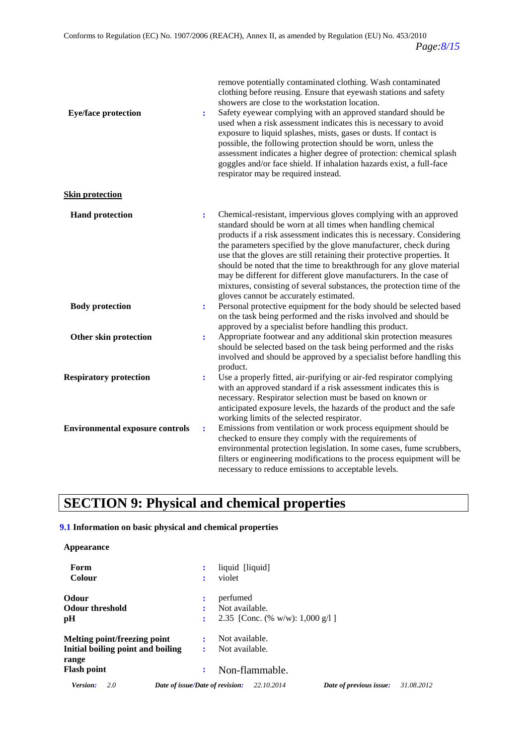| <b>Eye/face protection</b>             | $\ddot{\cdot}$ | remove potentially contaminated clothing. Wash contaminated<br>clothing before reusing. Ensure that eyewash stations and safety<br>showers are close to the workstation location.<br>Safety eyewear complying with an approved standard should be<br>used when a risk assessment indicates this is necessary to avoid<br>exposure to liquid splashes, mists, gases or dusts. If contact is<br>possible, the following protection should be worn, unless the<br>assessment indicates a higher degree of protection: chemical splash<br>goggles and/or face shield. If inhalation hazards exist, a full-face<br>respirator may be required instead. |
|----------------------------------------|----------------|---------------------------------------------------------------------------------------------------------------------------------------------------------------------------------------------------------------------------------------------------------------------------------------------------------------------------------------------------------------------------------------------------------------------------------------------------------------------------------------------------------------------------------------------------------------------------------------------------------------------------------------------------|
| <b>Skin protection</b>                 |                |                                                                                                                                                                                                                                                                                                                                                                                                                                                                                                                                                                                                                                                   |
| <b>Hand protection</b>                 | $\ddot{\cdot}$ | Chemical-resistant, impervious gloves complying with an approved<br>standard should be worn at all times when handling chemical<br>products if a risk assessment indicates this is necessary. Considering<br>the parameters specified by the glove manufacturer, check during<br>use that the gloves are still retaining their protective properties. It<br>should be noted that the time to breakthrough for any glove material<br>may be different for different glove manufacturers. In the case of<br>mixtures, consisting of several substances, the protection time of the<br>gloves cannot be accurately estimated.                        |
| <b>Body protection</b>                 | ÷              | Personal protective equipment for the body should be selected based<br>on the task being performed and the risks involved and should be<br>approved by a specialist before handling this product.                                                                                                                                                                                                                                                                                                                                                                                                                                                 |
| Other skin protection                  | $\ddot{\cdot}$ | Appropriate footwear and any additional skin protection measures<br>should be selected based on the task being performed and the risks<br>involved and should be approved by a specialist before handling this<br>product.                                                                                                                                                                                                                                                                                                                                                                                                                        |
| <b>Respiratory protection</b>          | ÷              | Use a properly fitted, air-purifying or air-fed respirator complying<br>with an approved standard if a risk assessment indicates this is<br>necessary. Respirator selection must be based on known or<br>anticipated exposure levels, the hazards of the product and the safe<br>working limits of the selected respirator.                                                                                                                                                                                                                                                                                                                       |
| <b>Environmental exposure controls</b> | $\ddot{\cdot}$ | Emissions from ventilation or work process equipment should be<br>checked to ensure they comply with the requirements of<br>environmental protection legislation. In some cases, fume scrubbers,<br>filters or engineering modifications to the process equipment will be<br>necessary to reduce emissions to acceptable levels.                                                                                                                                                                                                                                                                                                                  |

## **SECTION 9: Physical and chemical properties**

### **9.1 Information on basic physical and chemical properties**

### **Appearance**

| Form<br>Colour                    | ÷<br>÷                          | liquid [liquid]<br>violet |                                            |                         |            |
|-----------------------------------|---------------------------------|---------------------------|--------------------------------------------|-------------------------|------------|
| <b>Odour</b>                      | ÷                               | perfumed                  |                                            |                         |            |
| <b>Odour threshold</b>            | ٠                               | Not available.            |                                            |                         |            |
| pH                                | ÷                               |                           | 2.35 [Conc. (% w/w): $1,000 \text{ g}/1$ ] |                         |            |
| Melting point/freezing point      | ÷                               | Not available.            |                                            |                         |            |
| Initial boiling point and boiling |                                 | Not available.            |                                            |                         |            |
| range                             |                                 |                           |                                            |                         |            |
| <b>Flash point</b>                | ÷                               | Non-flammable.            |                                            |                         |            |
| 2.0<br>Version:                   | Date of issue/Date of revision: |                           | 22.10.2014                                 | Date of previous issue: | 31.08.2012 |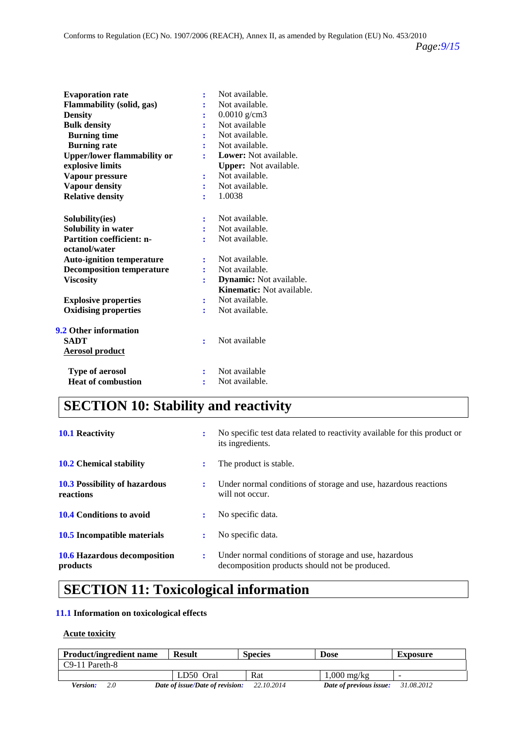| <b>Evaporation rate</b>            | ፡              | Not available.               |
|------------------------------------|----------------|------------------------------|
| <b>Flammability (solid, gas)</b>   | ÷              | Not available.               |
| <b>Density</b>                     |                | $0.0010$ g/cm3               |
| <b>Bulk density</b>                | ÷              | Not available                |
| <b>Burning time</b>                |                | Not available.               |
| <b>Burning rate</b>                | ÷              | Not available.               |
| <b>Upper/lower flammability or</b> |                | Lower: Not available.        |
| explosive limits                   |                | <b>Upper:</b> Not available. |
| Vapour pressure                    | :              | Not available.               |
| <b>Vapour density</b>              | ÷              | Not available.               |
| <b>Relative density</b>            |                | 1.0038                       |
|                                    |                |                              |
| Solubility(ies)                    | ፡              | Not available.               |
| Solubility in water                |                | Not available.               |
| <b>Partition coefficient: n-</b>   | ۰              | Not available.               |
| octanol/water                      |                |                              |
| <b>Auto-ignition temperature</b>   | ÷              | Not available.               |
| <b>Decomposition temperature</b>   |                | Not available.               |
| <b>Viscosity</b>                   | ř              | Dynamic: Not available.      |
|                                    |                | Kinematic: Not available.    |
| <b>Explosive properties</b>        | ÷              | Not available.               |
| <b>Oxidising properties</b>        | ÷              | Not available.               |
| <b>9.2 Other information</b>       |                |                              |
| SADT                               |                | Not available                |
|                                    | ÷              |                              |
| <b>Aerosol product</b>             |                |                              |
| <b>Type of aerosol</b>             | $\ddot{\cdot}$ | Not available                |
| <b>Heat of combustion</b>          |                | Not available.               |
|                                    |                |                              |

## **SECTION 10: Stability and reactivity**

| <b>10.1 Reactivity</b>                            | $\ddot{\phantom{a}}$ | No specific test data related to reactivity available for this product or<br>its ingredients.           |
|---------------------------------------------------|----------------------|---------------------------------------------------------------------------------------------------------|
| <b>10.2</b> Chemical stability                    | ÷                    | The product is stable.                                                                                  |
| <b>10.3 Possibility of hazardous</b><br>reactions | $\ddot{\phantom{a}}$ | Under normal conditions of storage and use, hazardous reactions<br>will not occur.                      |
| <b>10.4 Conditions to avoid</b>                   | $\ddot{\phantom{a}}$ | No specific data.                                                                                       |
| <b>10.5</b> Incompatible materials                | ÷                    | No specific data.                                                                                       |
| <b>10.6 Hazardous decomposition</b><br>products   | ٠.                   | Under normal conditions of storage and use, hazardous<br>decomposition products should not be produced. |

## **SECTION 11: Toxicological information**

### **11.1 Information on toxicological effects**

### **Acute toxicity**

| <b>Product/ingredient name</b> | <b>Result</b>                   | <b>Species</b> | <b>Dose</b>             | Exposure   |
|--------------------------------|---------------------------------|----------------|-------------------------|------------|
| $C9-11$ Pareth-8               |                                 |                |                         |            |
|                                | LD50 Oral                       | Rat            | $1,000 \text{ mg/kg}$   | -          |
| <b>Version:</b><br>2.0         | Date of issue/Date of revision: | 22.10.2014     | Date of previous issue: | 31.08.2012 |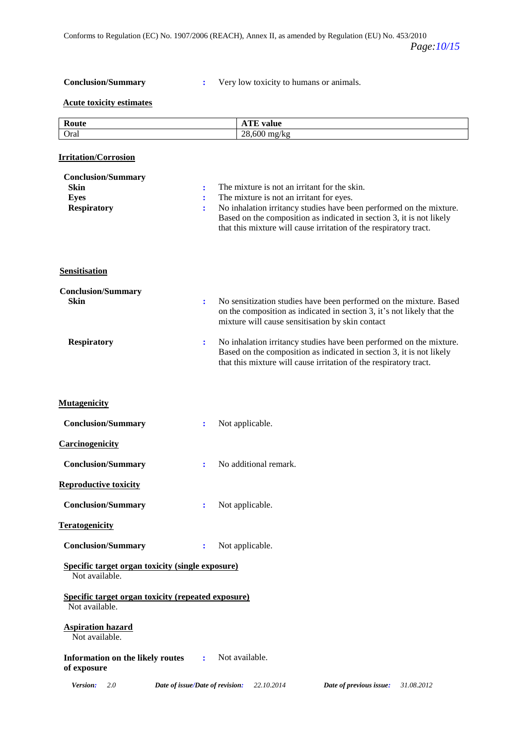**Conclusion/Summary :** Very low toxicity to humans or animals.

### **Acute toxicity estimates**

| Route                                                                         |                                  | <b>ATE</b> value                                                                                                                                                                                                                                                                                             |
|-------------------------------------------------------------------------------|----------------------------------|--------------------------------------------------------------------------------------------------------------------------------------------------------------------------------------------------------------------------------------------------------------------------------------------------------------|
| Oral                                                                          |                                  | 28,600 mg/kg                                                                                                                                                                                                                                                                                                 |
| <b>Irritation/Corrosion</b>                                                   |                                  |                                                                                                                                                                                                                                                                                                              |
| <b>Conclusion/Summary</b><br><b>Skin</b><br><b>Eyes</b><br><b>Respiratory</b> | $\ddot{\cdot}$<br>$\ddot{\cdot}$ | The mixture is not an irritant for the skin.<br>The mixture is not an irritant for eyes.<br>No inhalation irritancy studies have been performed on the mixture.<br>Based on the composition as indicated in section 3, it is not likely<br>that this mixture will cause irritation of the respiratory tract. |
| <b>Sensitisation</b>                                                          |                                  |                                                                                                                                                                                                                                                                                                              |
| <b>Conclusion/Summary</b><br><b>Skin</b>                                      | $\ddot{\cdot}$                   | No sensitization studies have been performed on the mixture. Based<br>on the composition as indicated in section 3, it's not likely that the<br>mixture will cause sensitisation by skin contact                                                                                                             |
| <b>Respiratory</b>                                                            | ÷                                | No inhalation irritancy studies have been performed on the mixture.<br>Based on the composition as indicated in section 3, it is not likely<br>that this mixture will cause irritation of the respiratory tract.                                                                                             |
| <b>Mutagenicity</b>                                                           |                                  |                                                                                                                                                                                                                                                                                                              |
| <b>Conclusion/Summary</b>                                                     | ÷                                | Not applicable.                                                                                                                                                                                                                                                                                              |
| <b>Carcinogenicity</b>                                                        |                                  |                                                                                                                                                                                                                                                                                                              |
| <b>Conclusion/Summary</b>                                                     | ÷                                | No additional remark.                                                                                                                                                                                                                                                                                        |
| <b>Reproductive toxicity</b>                                                  |                                  |                                                                                                                                                                                                                                                                                                              |
| <b>Conclusion/Summary</b>                                                     | ÷                                | Not applicable.                                                                                                                                                                                                                                                                                              |
| <b>Teratogenicity</b>                                                         |                                  |                                                                                                                                                                                                                                                                                                              |
| <b>Conclusion/Summary</b>                                                     | ÷                                | Not applicable.                                                                                                                                                                                                                                                                                              |
| <b>Specific target organ toxicity (single exposure)</b><br>Not available.     |                                  |                                                                                                                                                                                                                                                                                                              |
| <b>Specific target organ toxicity (repeated exposure)</b><br>Not available.   |                                  |                                                                                                                                                                                                                                                                                                              |
| <b>Aspiration hazard</b><br>Not available.                                    |                                  |                                                                                                                                                                                                                                                                                                              |
| Information on the likely routes<br>of exposure                               | ÷                                | Not available.                                                                                                                                                                                                                                                                                               |
| Version:<br>2.0                                                               | Date of issue/Date of revision:  | 22.10.2014<br>31.08.2012<br>Date of previous issue:                                                                                                                                                                                                                                                          |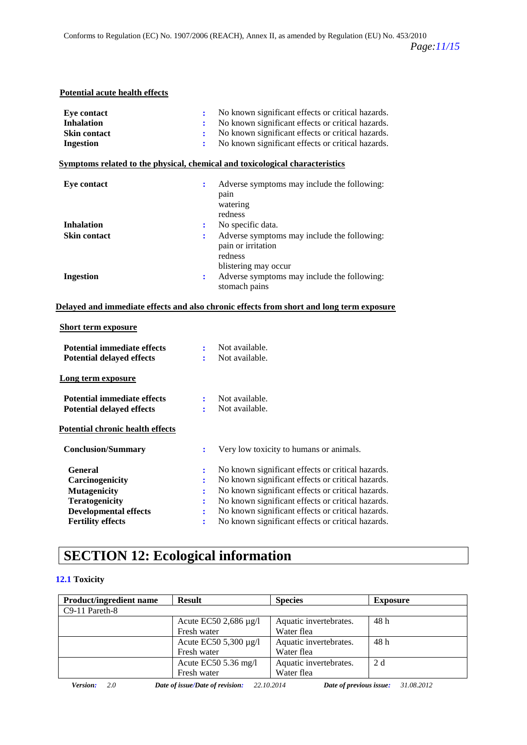### **Potential acute health effects**

| <b>Eye contact</b>                      | $\ddot{\cdot}$ | No known significant effects or critical hazards.                                        |
|-----------------------------------------|----------------|------------------------------------------------------------------------------------------|
| <b>Inhalation</b>                       |                | No known significant effects or critical hazards.                                        |
| <b>Skin contact</b>                     | ÷              | No known significant effects or critical hazards.                                        |
| <b>Ingestion</b>                        | ÷              | No known significant effects or critical hazards.                                        |
|                                         |                | Symptoms related to the physical, chemical and toxicological characteristics             |
| <b>Eye contact</b>                      | $\ddot{\cdot}$ | Adverse symptoms may include the following:                                              |
|                                         |                | pain                                                                                     |
|                                         |                | watering                                                                                 |
|                                         |                | redness                                                                                  |
| <b>Inhalation</b>                       | $\ddot{\cdot}$ | No specific data.                                                                        |
| <b>Skin contact</b>                     | ÷              | Adverse symptoms may include the following:<br>pain or irritation                        |
|                                         |                | redness                                                                                  |
|                                         |                | blistering may occur                                                                     |
| <b>Ingestion</b>                        | $\ddot{\cdot}$ | Adverse symptoms may include the following:                                              |
|                                         |                | stomach pains                                                                            |
|                                         |                | Delayed and immediate effects and also chronic effects from short and long term exposure |
|                                         |                |                                                                                          |
| <b>Short term exposure</b>              |                |                                                                                          |
| <b>Potential immediate effects</b>      | ÷              | Not available.                                                                           |
| <b>Potential delayed effects</b>        | $\ddot{\cdot}$ | Not available.                                                                           |
| Long term exposure                      |                |                                                                                          |
|                                         |                |                                                                                          |
| <b>Potential immediate effects</b>      | ÷              | Not available.                                                                           |
| <b>Potential delayed effects</b>        | ÷              | Not available.                                                                           |
| <b>Potential chronic health effects</b> |                |                                                                                          |
|                                         |                |                                                                                          |
| <b>Conclusion/Summary</b>               | $\ddot{\cdot}$ | Very low toxicity to humans or animals.                                                  |
| <b>General</b>                          | ፡              | No known significant effects or critical hazards.                                        |
| Carcinogenicity                         |                | No known significant effects or critical hazards.                                        |
| <b>Mutagenicity</b>                     |                | No known significant effects or critical hazards.                                        |
| <b>Teratogenicity</b>                   |                | No known significant effects or critical hazards.                                        |
| <b>Developmental effects</b>            |                | No known significant effects or critical hazards.                                        |

**Fertility effects :** No known significant effects or critical hazards.

## **SECTION 12: Ecological information**

### **12.1 Toxicity**

| <b>Product/ingredient name</b> | <b>Result</b>              | <b>Species</b>         | <b>Exposure</b> |
|--------------------------------|----------------------------|------------------------|-----------------|
| $C9-11$ Pareth-8               |                            |                        |                 |
|                                | Acute EC50 2,686 $\mu$ g/l | Aquatic invertebrates. | 48 h            |
|                                | Fresh water                | Water flea             |                 |
|                                | Acute EC50 5,300 $\mu$ g/l | Aquatic invertebrates. | 48 h            |
|                                | Fresh water                | Water flea             |                 |
|                                | Acute EC50 $5.36$ mg/l     | Aquatic invertebrates. | 2d              |
|                                | Fresh water                | Water flea             |                 |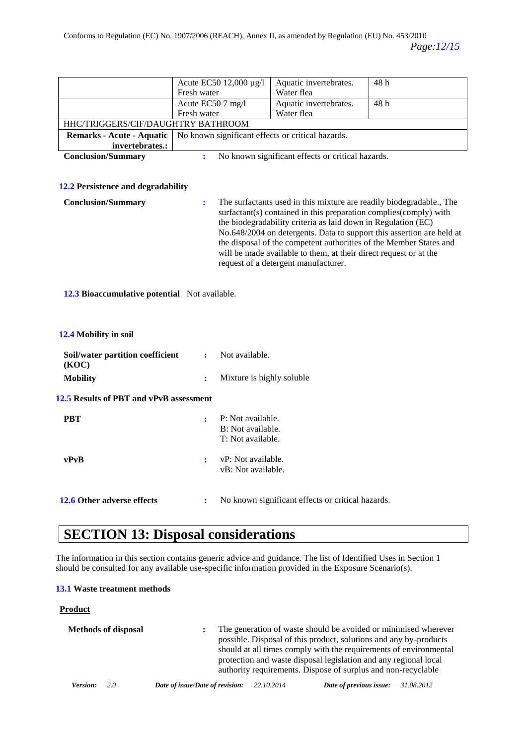|                                           | Acute EC50 12,000 µg/l |                                                             | Aquatic invertebrates.                                                                                                                                                                                                                                                                                                | 48h                                                                                                                                           |  |
|-------------------------------------------|------------------------|-------------------------------------------------------------|-----------------------------------------------------------------------------------------------------------------------------------------------------------------------------------------------------------------------------------------------------------------------------------------------------------------------|-----------------------------------------------------------------------------------------------------------------------------------------------|--|
|                                           | Fresh water            |                                                             | Water flea                                                                                                                                                                                                                                                                                                            |                                                                                                                                               |  |
|                                           | Acute EC50 7 mg/l      |                                                             | Aquatic invertebrates.                                                                                                                                                                                                                                                                                                | 48h                                                                                                                                           |  |
|                                           | Fresh water            |                                                             | Water flea                                                                                                                                                                                                                                                                                                            |                                                                                                                                               |  |
| HHC/TRIGGERS/CIF/DAUGHTRY BATHROOM        |                        |                                                             |                                                                                                                                                                                                                                                                                                                       |                                                                                                                                               |  |
| Remarks - Acute - Aquatic                 |                        |                                                             | No known significant effects or critical hazards.                                                                                                                                                                                                                                                                     |                                                                                                                                               |  |
| invertebrates.:                           |                        |                                                             |                                                                                                                                                                                                                                                                                                                       |                                                                                                                                               |  |
| <b>Conclusion/Summary</b>                 | ÷                      |                                                             | No known significant effects or critical hazards.                                                                                                                                                                                                                                                                     |                                                                                                                                               |  |
|                                           |                        |                                                             |                                                                                                                                                                                                                                                                                                                       |                                                                                                                                               |  |
|                                           |                        |                                                             |                                                                                                                                                                                                                                                                                                                       |                                                                                                                                               |  |
| 12.2 Persistence and degradability        |                        |                                                             |                                                                                                                                                                                                                                                                                                                       |                                                                                                                                               |  |
| <b>Conclusion/Summary</b>                 | $\ddot{\cdot}$         |                                                             | surfactant(s) contained in this preparation complies(comply) with<br>the biodegradability criteria as laid down in Regulation (EC)<br>the disposal of the competent authorities of the Member States and<br>will be made available to them, at their direct request or at the<br>request of a detergent manufacturer. | The surfactants used in this mixture are readily biodegradable., The<br>No.648/2004 on detergents. Data to support this assertion are held at |  |
| 12.4 Mobility in soil                     |                        |                                                             |                                                                                                                                                                                                                                                                                                                       |                                                                                                                                               |  |
| Soil/water partition coefficient<br>(KOC) | ÷                      | Not available.                                              |                                                                                                                                                                                                                                                                                                                       |                                                                                                                                               |  |
| <b>Mobility</b>                           | ÷                      | Mixture is highly soluble                                   |                                                                                                                                                                                                                                                                                                                       |                                                                                                                                               |  |
| 12.5 Results of PBT and vPvB assessment   |                        |                                                             |                                                                                                                                                                                                                                                                                                                       |                                                                                                                                               |  |
| <b>PBT</b>                                | ÷                      | P: Not available.<br>B: Not available.<br>T: Not available. |                                                                                                                                                                                                                                                                                                                       |                                                                                                                                               |  |
| vPvB                                      | ÷                      | vP: Not available.<br>vB: Not available.                    |                                                                                                                                                                                                                                                                                                                       |                                                                                                                                               |  |
| 12.6 Other adverse effects                | ÷                      |                                                             | No known significant effects or critical hazards.                                                                                                                                                                                                                                                                     |                                                                                                                                               |  |

## **SECTION 13: Disposal considerations**

The information in this section contains generic advice and guidance. The list of Identified Uses in Section 1 should be consulted for any available use-specific information provided in the Exposure Scenario(s).

### **13.1 Waste treatment methods**

### **Product**

|          | <b>Methods of disposal</b> |                                 |            | The generation of waste should be avoided or minimised wherever<br>possible. Disposal of this product, solutions and any by-products<br>should at all times comply with the requirements of environmental<br>protection and waste disposal legislation and any regional local<br>authority requirements. Dispose of surplus and non-recyclable |            |
|----------|----------------------------|---------------------------------|------------|------------------------------------------------------------------------------------------------------------------------------------------------------------------------------------------------------------------------------------------------------------------------------------------------------------------------------------------------|------------|
| Version: | 20                         | Date of issue/Date of revision: | 22.10.2014 | Date of previous issue:                                                                                                                                                                                                                                                                                                                        | 31.08.2012 |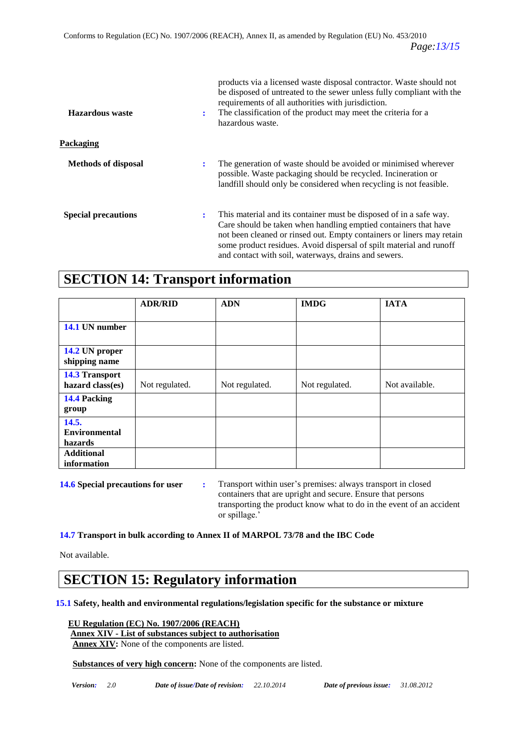| Hazardous waste            | products via a licensed waste disposal contractor. Waste should not<br>be disposed of untreated to the sewer unless fully compliant with the<br>requirements of all authorities with jurisdiction.<br>The classification of the product may meet the criteria for a<br>:<br>hazardous waste.                                                       |
|----------------------------|----------------------------------------------------------------------------------------------------------------------------------------------------------------------------------------------------------------------------------------------------------------------------------------------------------------------------------------------------|
| Packaging                  |                                                                                                                                                                                                                                                                                                                                                    |
| <b>Methods of disposal</b> | The generation of waste should be avoided or minimised wherever<br>÷<br>possible. Waste packaging should be recycled. Incineration or<br>landfill should only be considered when recycling is not feasible.                                                                                                                                        |
| <b>Special precautions</b> | This material and its container must be disposed of in a safe way.<br>÷<br>Care should be taken when handling emptied containers that have<br>not been cleaned or rinsed out. Empty containers or liners may retain<br>some product residues. Avoid dispersal of spilt material and runoff<br>and contact with soil, waterways, drains and sewers. |

### **SECTION 14: Transport information**

|                                 | <b>ADR/RID</b> | <b>ADN</b>     | <b>IMDG</b>    | <b>IATA</b>    |
|---------------------------------|----------------|----------------|----------------|----------------|
|                                 |                |                |                |                |
| 14.1 UN number                  |                |                |                |                |
|                                 |                |                |                |                |
| 14.2 UN proper<br>shipping name |                |                |                |                |
| <b>14.3 Transport</b>           |                |                |                |                |
| hazard class(es)                | Not regulated. | Not regulated. | Not regulated. | Not available. |
| 14.4 Packing                    |                |                |                |                |
| group                           |                |                |                |                |
| 14.5.                           |                |                |                |                |
| <b>Environmental</b>            |                |                |                |                |
| hazards                         |                |                |                |                |
| <b>Additional</b>               |                |                |                |                |
| information                     |                |                |                |                |

**14.6 Special precautions for user :** Transport within user's premises: always transport in closed containers that are upright and secure. Ensure that persons transporting the product know what to do in the event of an accident or spillage.'

**14.7 Transport in bulk according to Annex II of MARPOL 73/78 and the IBC Code**

Not available.

### **SECTION 15: Regulatory information**

**15.1 Safety, health and environmental regulations/legislation specific for the substance or mixture**

 **EU Regulation (EC) No. 1907/2006 (REACH)**

### **Annex XIV - List of substances subject to authorisation**

 **Annex XIV:** None of the components are listed.

 **Substances of very high concern:** None of the components are listed.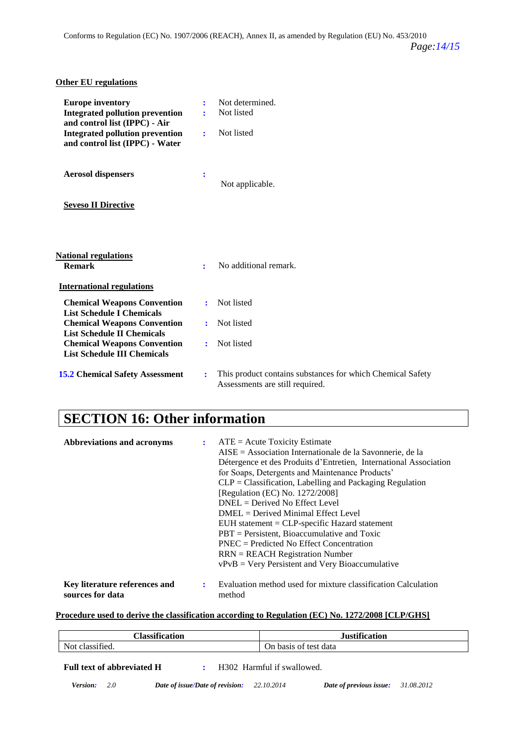| <b>Other EU regulations</b>                                                                                                                                                                                                                                       |                                                                                                                 |  |
|-------------------------------------------------------------------------------------------------------------------------------------------------------------------------------------------------------------------------------------------------------------------|-----------------------------------------------------------------------------------------------------------------|--|
| <b>Europe inventory</b><br><b>Integrated pollution prevention</b><br>and control list (IPPC) - Air<br><b>Integrated pollution prevention</b><br>and control list (IPPC) - Water                                                                                   | Not determined.<br>÷<br>Not listed<br>÷<br>Not listed<br>÷                                                      |  |
| <b>Aerosol dispensers</b>                                                                                                                                                                                                                                         | ÷<br>Not applicable.                                                                                            |  |
| <b>Seveso II Directive</b>                                                                                                                                                                                                                                        |                                                                                                                 |  |
| <b>National regulations</b><br><b>Remark</b>                                                                                                                                                                                                                      | No additional remark.<br>÷                                                                                      |  |
| <b>International regulations</b><br><b>Chemical Weapons Convention</b><br><b>List Schedule I Chemicals</b><br><b>Chemical Weapons Convention</b><br><b>List Schedule II Chemicals</b><br><b>Chemical Weapons Convention</b><br><b>List Schedule III Chemicals</b> | Not listed<br>$\bullet$<br>Not listed<br>÷.<br>Not listed<br>÷                                                  |  |
| <b>15.2 Chemical Safety Assessment</b>                                                                                                                                                                                                                            | This product contains substances for which Chemical Safety<br>$\ddot{\cdot}$<br>Assessments are still required. |  |

## **SECTION 16: Other information**

| <b>Abbreviations and acronyms</b>                 | $\mathbf{r}$ | $ATE = Acute Toxicity Estimate$<br>AISE = Association Internationale de la Savonnerie, de la<br>Détergence et des Produits d'Entretien, International Association<br>for Soaps, Detergents and Maintenance Products'<br>$CLP = Classification, Labelling and Packaging Regulation$<br>[Regulation (EC) No. 1272/2008]<br>$DNEL = Derived No Effect Level$<br>$DMEL = Derived \text{ Minimal Effect Level}$<br>$EUH$ statement = $CLP$ -specific Hazard statement<br>$PBT =$ Persistent, Bioaccumulative and Toxic<br>$PNEC = Predicted No Effect Concentration$<br>$RRN = REACH$ Registration Number<br>$vPvB = Very$ Persistent and Very Bioaccumulative |
|---------------------------------------------------|--------------|-----------------------------------------------------------------------------------------------------------------------------------------------------------------------------------------------------------------------------------------------------------------------------------------------------------------------------------------------------------------------------------------------------------------------------------------------------------------------------------------------------------------------------------------------------------------------------------------------------------------------------------------------------------|
| Key literature references and<br>sources for data | ÷            | Evaluation method used for mixture classification Calculation<br>method                                                                                                                                                                                                                                                                                                                                                                                                                                                                                                                                                                                   |

### **Procedure used to derive the classification according to Regulation (EC) No. 1272/2008 [CLP/GHS]**

| <b>Classification</b> | 1.00<br>$\blacksquare$<br>$-0.01$<br>uon |
|-----------------------|------------------------------------------|
| . .<br>.ucu           | ` data<br>On basis<br>test:<br>ΟĪ        |

Full text of abbreviated H : H302 Harmful if swallowed.